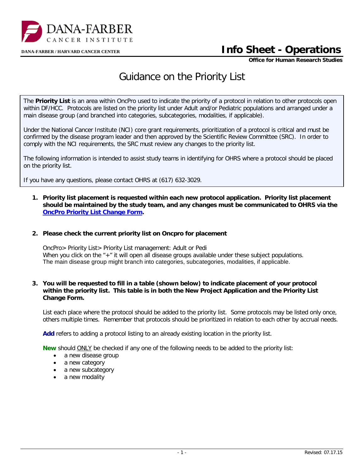

## **DANA-FARBER / HARVARD CANCER CENTER Info Sheet - Operations**

**Office for Human Research Studies**

## Guidance on the Priority List

The **Priority List** is an area within OncPro used to indicate the priority of a protocol in relation to other protocols open within DF/HCC. Protocols are listed on the priority list under Adult and/or Pediatric populations and arranged under a main disease group (and branched into categories, subcategories, modalities, if applicable).

Under the National Cancer Institute (NCI) core grant requirements, prioritization of a protocol is critical and must be confirmed by the disease program leader and then approved by the Scientific Review Committee (SRC). In order to comply with the NCI requirements, the SRC must review any changes to the priority list.

The following information is intended to assist study teams in identifying for OHRS where a protocol should be placed on the priority list.

If you have any questions, please contact OHRS at (617) 632-3029.

**1. Priority list placement is requested within each new protocol application. Priority list placement should be maintained by the study team, and any changes must be communicated to OHRS via the [OncPro Priority List Change Form.](http://www.dfhcc.harvard.edu/fileadmin/DFHCC_Admin/Clinical_Trials/OPRS/Forms_Instructions/Post_Activation/Priority_List_Change_Form.doc)**

## **2. Please check the current priority list on Oncpro for placement**

OncPro> Priority List> Priority List management: Adult or Pedi When you click on the "+" it will open all disease groups available under these subject populations. The main disease group might branch into categories, subcategories, modalities, if applicable.

## **3. You will be requested to fill in a table (shown below) to indicate placement of your protocol within the priority list. This table is in both the New Project Application and the Priority List Change Form.**

List each place where the protocol should be added to the priority list. Some protocols may be listed only once, others multiple times. Remember that protocols should be prioritized in relation to each other by accrual needs.

Add refers to adding a protocol listing to an already existing location in the priority list.

**New** should ONLY be checked if any one of the following needs to be added to the priority list:

- a new disease group
- a new category
- a new subcategory
- a new modality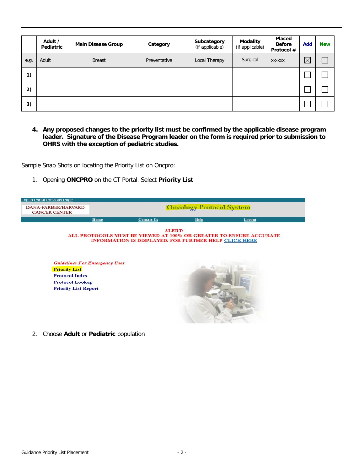|      | Adult /<br>Pediatric | <b>Main Disease Group</b> | Category     | Subcategory<br>(if applicable) | Modality<br>(if applicable) | <b>Placed</b><br><b>Before</b><br>Protocol # | Add         | <b>New</b> |
|------|----------------------|---------------------------|--------------|--------------------------------|-----------------------------|----------------------------------------------|-------------|------------|
| e.g. | Adult                | <b>Breast</b>             | Preventative | Local Therapy                  | Surgical                    | XX-XXX                                       | $\boxtimes$ |            |
| 1)   |                      |                           |              |                                |                             |                                              |             |            |
| 2)   |                      |                           |              |                                |                             |                                              |             |            |
| 3)   |                      |                           |              |                                |                             |                                              |             |            |

**4. Any proposed changes to the priority list must be confirmed by the applicable disease program leader. Signature of the Disease Program leader on the form is required prior to submission to OHRS with the exception of pediatric studies.** 

Sample Snap Shots on locating the Priority List on Oncpro:

1. Opening **ONCPRO** on the CT Portal. Select **Priority List**

| DANA-FARBER/HARVARD<br><b>CANCER CENTER</b>                                           | <b>Oncology Protocol System</b> |                                                                               |      |                                                                    |  |
|---------------------------------------------------------------------------------------|---------------------------------|-------------------------------------------------------------------------------|------|--------------------------------------------------------------------|--|
|                                                                                       | Home                            | <b>Contact Us</b>                                                             | Help | Logout                                                             |  |
|                                                                                       |                                 | <b>ALERT:</b><br><b>INFORMATION IS DISPLAYED. FOR FURTHER HELP CLICK HERE</b> |      | ALL PROTOCOLS MUST BE VIEWED AT 100% OR GREATER TO ENSURE ACCURATE |  |
| <b>Guidelines For Emergency Uses</b><br><b>Priority List</b><br><b>Protocol Index</b> |                                 |                                                                               |      |                                                                    |  |
| <b>Protocol Lookup</b>                                                                |                                 |                                                                               |      |                                                                    |  |
| <b>Priority List Report</b>                                                           |                                 |                                                                               |      |                                                                    |  |
|                                                                                       |                                 |                                                                               |      |                                                                    |  |

2. Choose **Adult** or **Pediatric** population